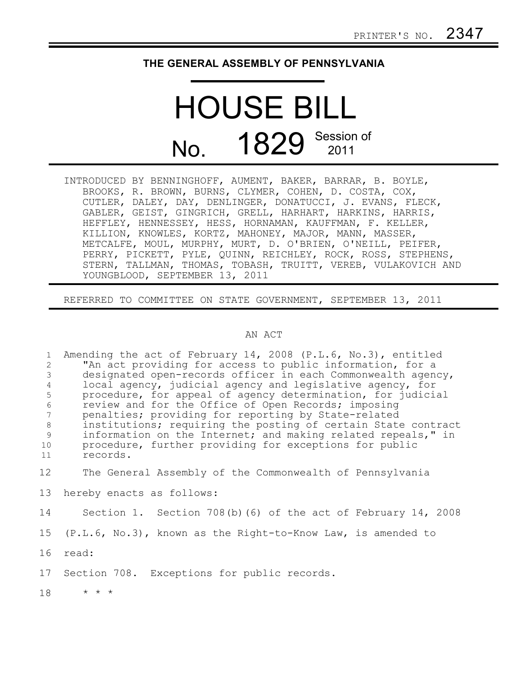## **THE GENERAL ASSEMBLY OF PENNSYLVANIA**

## HOUSE BILL No. 1829 Session of

INTRODUCED BY BENNINGHOFF, AUMENT, BAKER, BARRAR, B. BOYLE, BROOKS, R. BROWN, BURNS, CLYMER, COHEN, D. COSTA, COX, CUTLER, DALEY, DAY, DENLINGER, DONATUCCI, J. EVANS, FLECK, GABLER, GEIST, GINGRICH, GRELL, HARHART, HARKINS, HARRIS, HEFFLEY, HENNESSEY, HESS, HORNAMAN, KAUFFMAN, F. KELLER, KILLION, KNOWLES, KORTZ, MAHONEY, MAJOR, MANN, MASSER, METCALFE, MOUL, MURPHY, MURT, D. O'BRIEN, O'NEILL, PEIFER, PERRY, PICKETT, PYLE, QUINN, REICHLEY, ROCK, ROSS, STEPHENS, STERN, TALLMAN, THOMAS, TOBASH, TRUITT, VEREB, VULAKOVICH AND YOUNGBLOOD, SEPTEMBER 13, 2011

REFERRED TO COMMITTEE ON STATE GOVERNMENT, SEPTEMBER 13, 2011

## AN ACT

| $\mathbf{1}$<br>$\overline{2}$<br>3<br>$\overline{4}$<br>5<br>$\epsilon$<br>7<br>$\,8\,$<br>9<br>10<br>11 | Amending the act of February 14, 2008 (P.L.6, No.3), entitled<br>"An act providing for access to public information, for a<br>designated open-records officer in each Commonwealth agency,<br>local agency, judicial agency and legislative agency, for<br>procedure, for appeal of agency determination, for judicial<br>review and for the Office of Open Records; imposing<br>penalties; providing for reporting by State-related<br>institutions; requiring the posting of certain State contract<br>information on the Internet; and making related repeals," in<br>procedure, further providing for exceptions for public<br>records. |
|-----------------------------------------------------------------------------------------------------------|---------------------------------------------------------------------------------------------------------------------------------------------------------------------------------------------------------------------------------------------------------------------------------------------------------------------------------------------------------------------------------------------------------------------------------------------------------------------------------------------------------------------------------------------------------------------------------------------------------------------------------------------|
| 12                                                                                                        | The General Assembly of the Commonwealth of Pennsylvania                                                                                                                                                                                                                                                                                                                                                                                                                                                                                                                                                                                    |
| 13                                                                                                        | hereby enacts as follows:                                                                                                                                                                                                                                                                                                                                                                                                                                                                                                                                                                                                                   |
| 14                                                                                                        | Section 1. Section 708(b) (6) of the act of February 14, 2008                                                                                                                                                                                                                                                                                                                                                                                                                                                                                                                                                                               |
| 15                                                                                                        | $(P.L.6, No.3)$ , known as the Right-to-Know Law, is amended to                                                                                                                                                                                                                                                                                                                                                                                                                                                                                                                                                                             |
| 16                                                                                                        | read:                                                                                                                                                                                                                                                                                                                                                                                                                                                                                                                                                                                                                                       |
| 17                                                                                                        | Section 708. Exceptions for public records.                                                                                                                                                                                                                                                                                                                                                                                                                                                                                                                                                                                                 |
| 18                                                                                                        | $\star$ $\star$ $\star$                                                                                                                                                                                                                                                                                                                                                                                                                                                                                                                                                                                                                     |